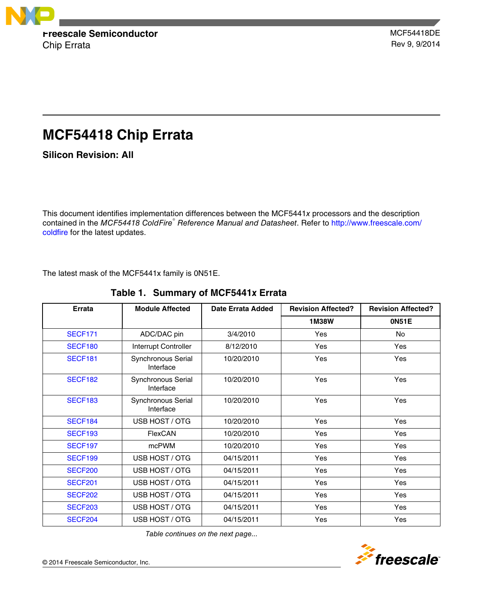

# **MCF54418 Chip Errata**

**Silicon Revision: All**

This document identifies implementation differences between the MCF5441*x* processors and the description contained in the *MCF54418 ColdFire*<sup>®</sup> Reference Manual and Datasheet. Refer to [http://www.freescale.com/](http://www.freescale.com/coldfire) [coldfire](http://www.freescale.com/coldfire) for the latest updates.

The latest mask of the MCF5441x family is 0N51E.

| <b>Errata</b>       | <b>Module Affected</b>          | Date Errata Added | <b>Revision Affected?</b> | <b>Revision Affected?</b> |
|---------------------|---------------------------------|-------------------|---------------------------|---------------------------|
|                     |                                 |                   | <b>1M38W</b>              | <b>ON51E</b>              |
| <b>SECF171</b>      | ADC/DAC pin                     | 3/4/2010          | Yes                       | <b>No</b>                 |
| SECF <sub>180</sub> | Interrupt Controller            | 8/12/2010         | Yes                       | Yes                       |
| <b>SECF181</b>      | Synchronous Serial<br>Interface |                   | <b>Yes</b>                | Yes                       |
| <b>SECF182</b>      | Synchronous Serial<br>Interface | 10/20/2010        | Yes                       | Yes                       |
| <b>SECF183</b>      | Synchronous Serial<br>Interface | 10/20/2010        | Yes                       | Yes                       |
| SECF <sub>184</sub> | USB HOST / OTG                  | 10/20/2010        | Yes                       | Yes                       |
| SECF <sub>193</sub> | FlexCAN                         | 10/20/2010        | Yes                       | Yes                       |
| SECF <sub>197</sub> | mcPWM                           | 10/20/2010        | Yes                       | Yes                       |
| SECF <sub>199</sub> | USB HOST / OTG                  | 04/15/2011        | Yes                       | Yes                       |
| <b>SECF200</b>      | USB HOST / OTG                  | 04/15/2011        | Yes                       | Yes                       |
| <b>SECF201</b>      | USB HOST / OTG                  | 04/15/2011        | Yes                       | Yes                       |
| <b>SECF202</b>      | USB HOST / OTG                  | 04/15/2011        | Yes                       | Yes                       |
| <b>SECF203</b>      | USB HOST / OTG                  | 04/15/2011        | Yes                       | Yes                       |
| <b>SECF204</b>      | USB HOST / OTG                  | 04/15/2011        | Yes                       | Yes                       |

**Table 1. Summary of MCF5441***x* **Errata**

*Table continues on the next page...*

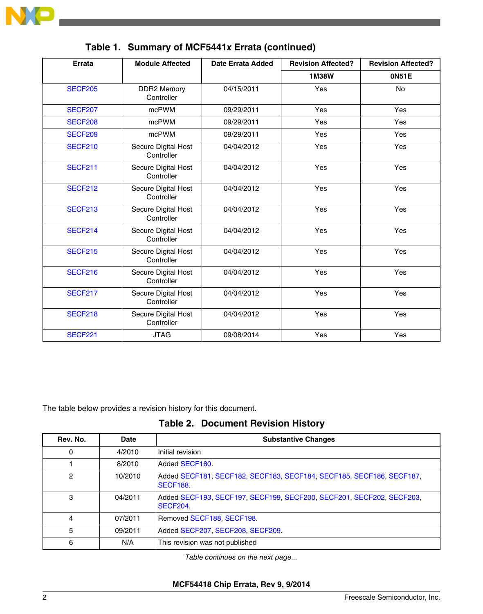

| <b>Errata</b><br><b>Module Affected</b> |                                   | <b>Date Errata Added</b> | <b>Revision Affected?</b> | <b>Revision Affected?</b> |
|-----------------------------------------|-----------------------------------|--------------------------|---------------------------|---------------------------|
|                                         |                                   |                          | 1M38W                     | 0N51E                     |
| <b>SECF205</b>                          | <b>DDR2 Memory</b><br>Controller  | 04/15/2011               | Yes                       | <b>No</b>                 |
| <b>SECF207</b>                          | mcPWM                             | 09/29/2011               | Yes                       | Yes                       |
| <b>SECF208</b>                          | mcPWM                             | 09/29/2011               | Yes                       | Yes                       |
| <b>SECF209</b>                          | mcPWM                             | 09/29/2011               | Yes                       | Yes                       |
| <b>SECF210</b>                          | Secure Digital Host<br>Controller | 04/04/2012               | Yes                       | Yes                       |
| <b>SECF211</b>                          | Secure Digital Host<br>Controller | 04/04/2012               | Yes                       | Yes                       |
| <b>SECF212</b>                          | Secure Digital Host<br>Controller | 04/04/2012               | Yes                       | Yes                       |
| <b>SECF213</b>                          | Secure Digital Host<br>Controller | 04/04/2012               | Yes                       | Yes                       |
| <b>SECF214</b>                          | Secure Digital Host<br>Controller | 04/04/2012               | Yes                       | Yes                       |
| <b>SECF215</b>                          | Secure Digital Host<br>Controller | 04/04/2012               | Yes                       | Yes                       |
| <b>SECF216</b>                          | Secure Digital Host<br>Controller | 04/04/2012               | Yes                       | Yes                       |
| <b>SECF217</b>                          | Secure Digital Host<br>Controller | 04/04/2012               | Yes                       | Yes                       |
| <b>SECF218</b>                          | Secure Digital Host<br>Controller |                          | Yes                       | Yes                       |
| <b>SECF221</b>                          | <b>JTAG</b>                       | 09/08/2014               | Yes                       | Yes                       |

**Table 1. Summary of MCF5441***x* **Errata (continued)**

The table below provides a revision history for this document.

**Table 2. Document Revision History**

| Rev. No. | Date    | <b>Substantive Changes</b>                                                              |
|----------|---------|-----------------------------------------------------------------------------------------|
| 0        | 4/2010  | Initial revision                                                                        |
|          | 8/2010  | Added SECF180.                                                                          |
| 2        | 10/2010 | Added SECF181, SECF182, SECF183, SECF184, SECF185, SECF186, SECF187,<br><b>SECF188.</b> |
| 3        | 04/2011 | Added SECF193, SECF197, SECF199, SECF200, SECF201, SECF202, SECF203,<br>SECF204.        |
| 4        | 07/2011 | Removed SECF188, SECF198.                                                               |
| 5        | 09/2011 | Added SECF207, SECF208, SECF209.                                                        |
| 6        | N/A     | This revision was not published                                                         |

*Table continues on the next page...*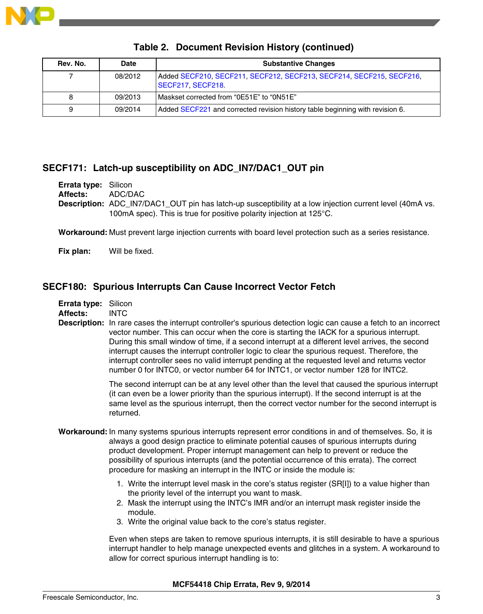<span id="page-2-0"></span>

| Rev. No. | <b>Date</b> | <b>Substantive Changes</b>                                                                |
|----------|-------------|-------------------------------------------------------------------------------------------|
|          | 08/2012     | Added SECF210, SECF211, SECF212, SECF213, SECF214, SECF215, SECF216,<br>SECF217, SECF218. |
| 8        | 09/2013     | Maskset corrected from "0E51E" to "0N51E"                                                 |
| 9        | 09/2014     | Added SECF221 and corrected revision history table beginning with revision 6.             |

# **Table 2. Document Revision History (continued)**

# **SECF171: Latch-up susceptibility on ADC\_IN7/DAC1\_OUT pin**

**Errata type:** Silicon

**Affects:** ADC/DAC

**Description:** ADC\_IN7/DAC1\_OUT pin has latch-up susceptibility at a low injection current level (40mA vs. 100mA spec). This is true for positive polarity injection at 125°C.

**Workaround:** Must prevent large injection currents with board level protection such as a series resistance.

**Fix plan:** Will be fixed.

# **SECF180: Spurious Interrupts Can Cause Incorrect Vector Fetch**

**Affects:** INTC

**Description:** In rare cases the interrupt controller's spurious detection logic can cause a fetch to an incorrect vector number. This can occur when the core is starting the IACK for a spurious interrupt. During this small window of time, if a second interrupt at a different level arrives, the second interrupt causes the interrupt controller logic to clear the spurious request. Therefore, the interrupt controller sees no valid interrupt pending at the requested level and returns vector number 0 for INTC0, or vector number 64 for INTC1, or vector number 128 for INTC2.

> The second interrupt can be at any level other than the level that caused the spurious interrupt (it can even be a lower priority than the spurious interrupt). If the second interrupt is at the same level as the spurious interrupt, then the correct vector number for the second interrupt is returned.

- **Workaround:** In many systems spurious interrupts represent error conditions in and of themselves. So, it is always a good design practice to eliminate potential causes of spurious interrupts during product development. Proper interrupt management can help to prevent or reduce the possibility of spurious interrupts (and the potential occurrence of this errata). The correct procedure for masking an interrupt in the INTC or inside the module is:
	- 1. Write the interrupt level mask in the core's status register (SR[I]) to a value higher than the priority level of the interrupt you want to mask.
	- 2. Mask the interrupt using the INTC's IMR and/or an interrupt mask register inside the module.
	- 3. Write the original value back to the core's status register.

Even when steps are taken to remove spurious interrupts, it is still desirable to have a spurious interrupt handler to help manage unexpected events and glitches in a system. A workaround to allow for correct spurious interrupt handling is to: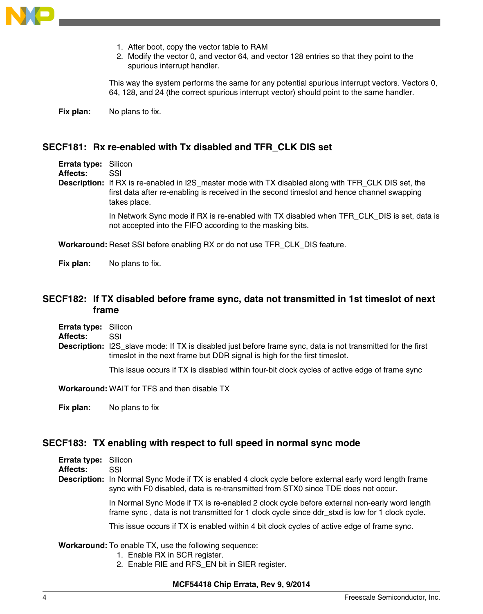<span id="page-3-0"></span>

- 1. After boot, copy the vector table to RAM
- 2. Modify the vector 0, and vector 64, and vector 128 entries so that they point to the spurious interrupt handler.

This way the system performs the same for any potential spurious interrupt vectors. Vectors 0, 64, 128, and 24 (the correct spurious interrupt vector) should point to the same handler.

**Fix plan:** No plans to fix.

### **SECF181: Rx re-enabled with Tx disabled and TFR\_CLK DIS set**

**Errata type:** Silicon **Affects:** SSI **Description:** If RX is re-enabled in I2S\_master mode with TX disabled along with TFR\_CLK DIS set, the first data after re-enabling is received in the second timeslot and hence channel swapping takes place. In Network Sync mode if RX is re-enabled with TX disabled when TFR\_CLK\_DIS is set, data is

not accepted into the FIFO according to the masking bits.

**Workaround:** Reset SSI before enabling RX or do not use TFR\_CLK\_DIS feature.

**Fix plan:** No plans to fix.

# **SECF182: If TX disabled before frame sync, data not transmitted in 1st timeslot of next frame**

**Errata type:** Silicon

**Affects:** SSI

**Description:** I2S\_slave mode: If TX is disabled just before frame sync, data is not transmitted for the first timeslot in the next frame but DDR signal is high for the first timeslot.

This issue occurs if TX is disabled within four-bit clock cycles of active edge of frame sync

**Workaround:** WAIT for TFS and then disable TX

**Fix plan:** No plans to fix

# **SECF183: TX enabling with respect to full speed in normal sync mode**

| <b>Errata type:</b> Silicon<br><b>Affects:</b> | SSL                                                                                                                                                                                                 |
|------------------------------------------------|-----------------------------------------------------------------------------------------------------------------------------------------------------------------------------------------------------|
|                                                | <b>Description:</b> In Normal Sync Mode if TX is enabled 4 clock cycle before external early word length frame<br>sync with F0 disabled, data is re-transmitted from STX0 since TDE does not occur. |
|                                                | In Normal Sync Mode if TX is re-enabled 2 clock cycle before external non-early word length<br>frame sync, data is not transmitted for 1 clock cycle since ddr stxd is low for 1 clock cycle.       |

This issue occurs if TX is enabled within 4 bit clock cycles of active edge of frame sync.

#### **Workaround:** To enable TX, use the following sequence:

- 1. Enable RX in SCR register.
- 2. Enable RIE and RFS\_EN bit in SIER register.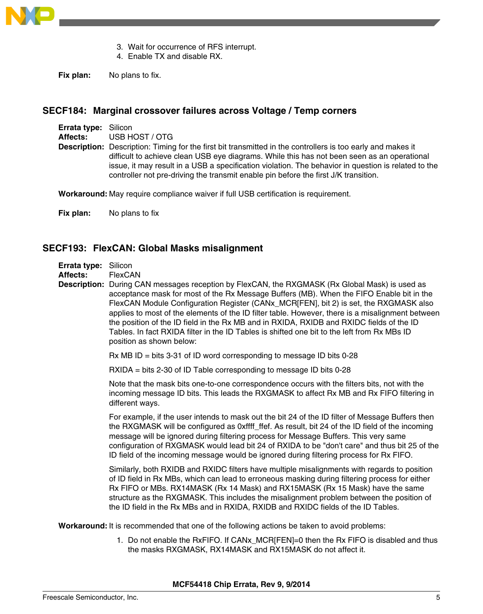<span id="page-4-0"></span>

- 3. Wait for occurrence of RFS interrupt.
- 4. Enable TX and disable RX.

**Fix plan:** No plans to fix.

## **SECF184: Marginal crossover failures across Voltage / Temp corners**

| <b>Errata type:</b> Silicon |                                                                                                                                                                                                                                                                                                                                                                                                                 |
|-----------------------------|-----------------------------------------------------------------------------------------------------------------------------------------------------------------------------------------------------------------------------------------------------------------------------------------------------------------------------------------------------------------------------------------------------------------|
| Affects:                    | USB HOST / OTG                                                                                                                                                                                                                                                                                                                                                                                                  |
|                             | <b>Description:</b> Description: Timing for the first bit transmitted in the controllers is too early and makes it<br>difficult to achieve clean USB eye diagrams. While this has not been seen as an operational<br>issue, it may result in a USB a specification violation. The behavior in question is related to the<br>controller not pre-driving the transmit enable pin before the first J/K transition. |

**Workaround:** May require compliance waiver if full USB certification is requirement.

**Fix plan:** No plans to fix

# **SECF193: FlexCAN: Global Masks misalignment**

**Errata type:** Silicon

**Affects:** FlexCAN

**Description:** During CAN messages reception by FlexCAN, the RXGMASK (Rx Global Mask) is used as acceptance mask for most of the Rx Message Buffers (MB). When the FIFO Enable bit in the FlexCAN Module Configuration Register (CANx\_MCR[FEN], bit 2) is set, the RXGMASK also applies to most of the elements of the ID filter table. However, there is a misalignment between the position of the ID field in the Rx MB and in RXIDA, RXIDB and RXIDC fields of the ID Tables. In fact RXIDA filter in the ID Tables is shifted one bit to the left from Rx MBs ID position as shown below:

 $Rx MB ID = bits 3-31$  of ID word corresponding to message ID bits 0-28

RXIDA = bits 2-30 of ID Table corresponding to message ID bits 0-28

Note that the mask bits one-to-one correspondence occurs with the filters bits, not with the incoming message ID bits. This leads the RXGMASK to affect Rx MB and Rx FIFO filtering in different ways.

For example, if the user intends to mask out the bit 24 of the ID filter of Message Buffers then the RXGMASK will be configured as 0xffff ffef. As result, bit 24 of the ID field of the incoming message will be ignored during filtering process for Message Buffers. This very same configuration of RXGMASK would lead bit 24 of RXIDA to be "don't care" and thus bit 25 of the ID field of the incoming message would be ignored during filtering process for Rx FIFO.

Similarly, both RXIDB and RXIDC filters have multiple misalignments with regards to position of ID field in Rx MBs, which can lead to erroneous masking during filtering process for either Rx FIFO or MBs. RX14MASK (Rx 14 Mask) and RX15MASK (Rx 15 Mask) have the same structure as the RXGMASK. This includes the misalignment problem between the position of the ID field in the Rx MBs and in RXIDA, RXIDB and RXIDC fields of the ID Tables.

**Workaround:** It is recommended that one of the following actions be taken to avoid problems:

1. Do not enable the RxFIFO. If CANx\_MCR[FEN]=0 then the Rx FIFO is disabled and thus the masks RXGMASK, RX14MASK and RX15MASK do not affect it.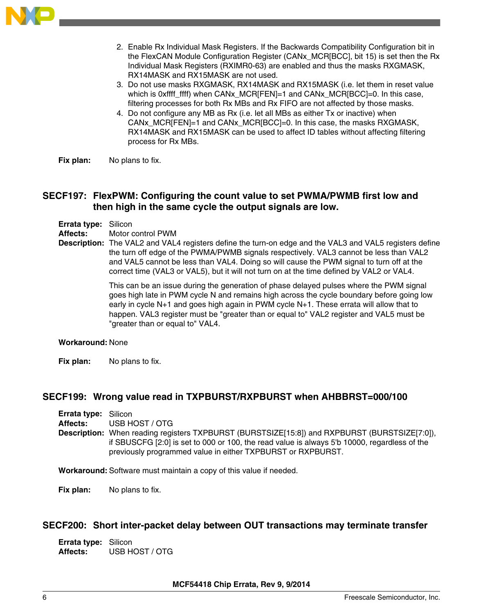<span id="page-5-0"></span>

- 2. Enable Rx Individual Mask Registers. If the Backwards Compatibility Configuration bit in the FlexCAN Module Configuration Register (CANx\_MCR[BCC], bit 15) is set then the Rx Individual Mask Registers (RXIMR0-63) are enabled and thus the masks RXGMASK, RX14MASK and RX15MASK are not used.
- 3. Do not use masks RXGMASK, RX14MASK and RX15MASK (i.e. let them in reset value which is 0xffff\_ffff) when CANx\_MCR[FEN]=1 and CANx\_MCR[BCC]=0. In this case, filtering processes for both Rx MBs and Rx FIFO are not affected by those masks.
- 4. Do not configure any MB as Rx (i.e. let all MBs as either Tx or inactive) when CANx\_MCR[FEN]=1 and CANx\_MCR[BCC]=0. In this case, the masks RXGMASK, RX14MASK and RX15MASK can be used to affect ID tables without affecting filtering process for Rx MBs.
- **Fix plan:** No plans to fix.

# **SECF197: FlexPWM: Configuring the count value to set PWMA/PWMB first low and then high in the same cycle the output signals are low.**

**Errata type:** Silicon

**Affects:** Motor control PWM

**Description:** The VAL2 and VAL4 registers define the turn-on edge and the VAL3 and VAL5 registers define the turn off edge of the PWMA/PWMB signals respectively. VAL3 cannot be less than VAL2 and VAL5 cannot be less than VAL4. Doing so will cause the PWM signal to turn off at the correct time (VAL3 or VAL5), but it will not turn on at the time defined by VAL2 or VAL4.

> This can be an issue during the generation of phase delayed pulses where the PWM signal goes high late in PWM cycle N and remains high across the cycle boundary before going low early in cycle N+1 and goes high again in PWM cycle N+1. These errata will allow that to happen. VAL3 register must be "greater than or equal to" VAL2 register and VAL5 must be "greater than or equal to" VAL4.

#### **Workaround:** None

**Fix plan:** No plans to fix.

# **SECF199: Wrong value read in TXPBURST/RXPBURST when AHBBRST=000/100**

**Errata type:** Silicon **Affects:** USB HOST / OTG **Description:** When reading registers TXPBURST (BURSTSIZE[15:8]) and RXPBURST (BURSTSIZE[7:0]), if SBUSCFG [2:0] is set to 000 or 100, the read value is always 5'b 10000, regardless of the previously programmed value in either TXPBURST or RXPBURST.

**Workaround:** Software must maintain a copy of this value if needed.

**Fix plan:** No plans to fix.

#### **SECF200: Short inter-packet delay between OUT transactions may terminate transfer**

**Errata type:** Silicon **Affects:** USB HOST / OTG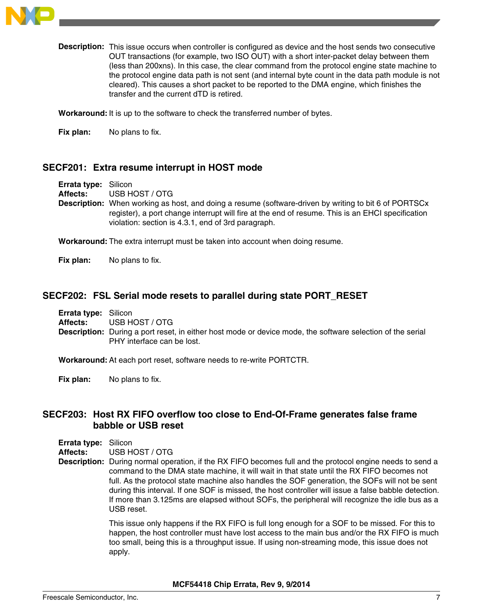<span id="page-6-0"></span>

**Description:** This issue occurs when controller is configured as device and the host sends two consecutive OUT transactions (for example, two ISO OUT) with a short inter-packet delay between them (less than 200xns). In this case, the clear command from the protocol engine state machine to the protocol engine data path is not sent (and internal byte count in the data path module is not cleared). This causes a short packet to be reported to the DMA engine, which finishes the transfer and the current dTD is retired.

**Workaround:** It is up to the software to check the transferred number of bytes.

**Fix plan:** No plans to fix.

## **SECF201: Extra resume interrupt in HOST mode**

**Errata type:** Silicon **Affects:** USB HOST / OTG **Description:** When working as host, and doing a resume (software-driven by writing to bit 6 of PORTSCx register), a port change interrupt will fire at the end of resume. This is an EHCI specification violation: section is 4.3.1, end of 3rd paragraph.

**Workaround:** The extra interrupt must be taken into account when doing resume.

**Fix plan:** No plans to fix.

#### **SECF202: FSL Serial mode resets to parallel during state PORT\_RESET**

**Errata type:** Silicon **Affects:** USB HOST / OTG **Description:** During a port reset, in either host mode or device mode, the software selection of the serial PHY interface can be lost.

**Workaround:** At each port reset, software needs to re-write PORTCTR.

**Fix plan:** No plans to fix.

# **SECF203: Host RX FIFO overflow too close to End-Of-Frame generates false frame babble or USB reset**

**Errata type:** Silicon **Affects:** USB HOST / OTG

**Description:** During normal operation, if the RX FIFO becomes full and the protocol engine needs to send a command to the DMA state machine, it will wait in that state until the RX FIFO becomes not full. As the protocol state machine also handles the SOF generation, the SOFs will not be sent during this interval. If one SOF is missed, the host controller will issue a false babble detection. If more than 3.125ms are elapsed without SOFs, the peripheral will recognize the idle bus as a USB reset.

> This issue only happens if the RX FIFO is full long enough for a SOF to be missed. For this to happen, the host controller must have lost access to the main bus and/or the RX FIFO is much too small, being this is a throughput issue. If using non-streaming mode, this issue does not apply.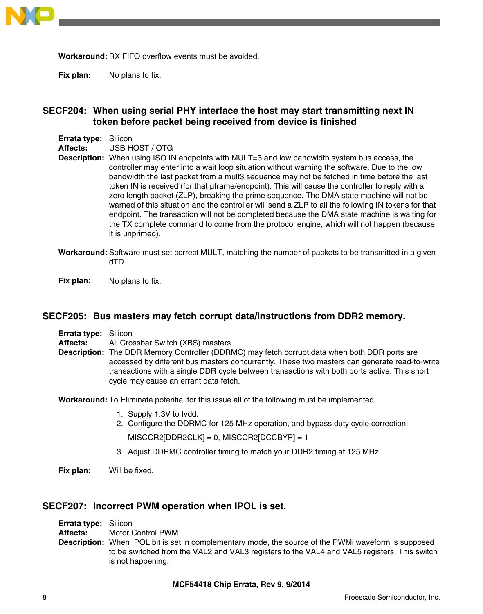<span id="page-7-0"></span>

**Workaround:** RX FIFO overflow events must be avoided.

**Fix plan:** No plans to fix.

# **SECF204: When using serial PHY interface the host may start transmitting next IN token before packet being received from device is finished**

**Errata type:** Silicon

**Affects:** USB HOST / OTG

**Description:** When using ISO IN endpoints with MULT=3 and low bandwidth system bus access, the controller may enter into a wait loop situation without warning the software. Due to the low bandwidth the last packet from a mult3 sequence may not be fetched in time before the last token IN is received (for that µframe/endpoint). This will cause the controller to reply with a zero length packet (ZLP), breaking the prime sequence. The DMA state machine will not be warned of this situation and the controller will send a ZLP to all the following IN tokens for that endpoint. The transaction will not be completed because the DMA state machine is waiting for the TX complete command to come from the protocol engine, which will not happen (because it is unprimed).

**Workaround:** Software must set correct MULT, matching the number of packets to be transmitted in a given dTD.

**Fix plan:** No plans to fix.

#### **SECF205: Bus masters may fetch corrupt data/instructions from DDR2 memory.**

| <b>Errata type: Silicon</b> |                                                                                                                                                                                                                                                                                                                                               |
|-----------------------------|-----------------------------------------------------------------------------------------------------------------------------------------------------------------------------------------------------------------------------------------------------------------------------------------------------------------------------------------------|
| Affects:                    | All Crossbar Switch (XBS) masters                                                                                                                                                                                                                                                                                                             |
|                             | <b>Description:</b> The DDR Memory Controller (DDRMC) may fetch corrupt data when both DDR ports are<br>accessed by different bus masters concurrently. These two masters can generate read-to-write<br>transactions with a single DDR cycle between transactions with both ports active. This short<br>cycle may cause an errant data fetch. |

**Workaround:** To Eliminate potential for this issue all of the following must be implemented.

- 1. Supply 1.3V to Ivdd.
- 2. Configure the DDRMC for 125 MHz operation, and bypass duty cycle correction:

 $MISCCR2[DDR2CLK] = 0$ ,  $MISCCR2[DCCBYP] = 1$ 

3. Adjust DDRMC controller timing to match your DDR2 timing at 125 MHz.

**Fix plan:** Will be fixed.

#### **SECF207: Incorrect PWM operation when IPOL is set.**

**Errata type:** Silicon **Affects:** Motor Control PWM **Description:** When IPOL bit is set in complementary mode, the source of the PWMi waveform is supposed to be switched from the VAL2 and VAL3 registers to the VAL4 and VAL5 registers. This switch is not happening.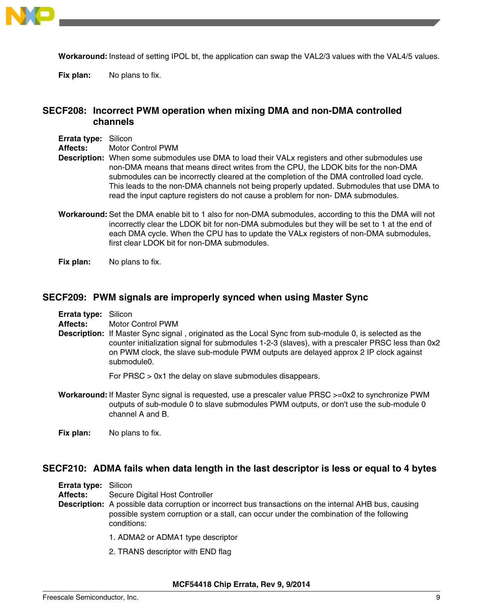<span id="page-8-0"></span>

**Workaround:** Instead of setting IPOL bt, the application can swap the VAL2/3 values with the VAL4/5 values.

**Fix plan:** No plans to fix.

# **SECF208: Incorrect PWM operation when mixing DMA and non-DMA controlled channels**

**Errata type:** Silicon

**Affects:** Motor Control PWM

- **Description:** When some submodules use DMA to load their VALx registers and other submodules use non-DMA means that means direct writes from the CPU, the LDOK bits for the non-DMA submodules can be incorrectly cleared at the completion of the DMA controlled load cycle. This leads to the non-DMA channels not being properly updated. Submodules that use DMA to read the input capture registers do not cause a problem for non- DMA submodules.
- **Workaround:** Set the DMA enable bit to 1 also for non-DMA submodules, according to this the DMA will not incorrectly clear the LDOK bit for non-DMA submodules but they will be set to 1 at the end of each DMA cycle. When the CPU has to update the VALx registers of non-DMA submodules, first clear LDOK bit for non-DMA submodules.

**Fix plan:** No plans to fix.

#### **SECF209: PWM signals are improperly synced when using Master Sync**

- **Affects:** Motor Control PWM
- **Description:** If Master Sync signal , originated as the Local Sync from sub-module 0, is selected as the counter initialization signal for submodules 1-2-3 (slaves), with a prescaler PRSC less than 0x2 on PWM clock, the slave sub-module PWM outputs are delayed approx 2 IP clock against submodule0.

For PRSC > 0x1 the delay on slave submodules disappears.

**Workaround:** If Master Sync signal is requested, use a prescaler value PRSC >=0x2 to synchronize PWM outputs of sub-module 0 to slave submodules PWM outputs, or don't use the sub-module 0 channel A and B.

**Fix plan:** No plans to fix.

#### **SECF210: ADMA fails when data length in the last descriptor is less or equal to 4 bytes**

| <b>Errata type: Silicon</b> |                                |
|-----------------------------|--------------------------------|
| Affects:                    | Secure Digital Host Controller |

- **Description:** A possible data corruption or incorrect bus transactions on the internal AHB bus, causing possible system corruption or a stall, can occur under the combination of the following conditions:
	- 1. ADMA2 or ADMA1 type descriptor
	- 2. TRANS descriptor with END flag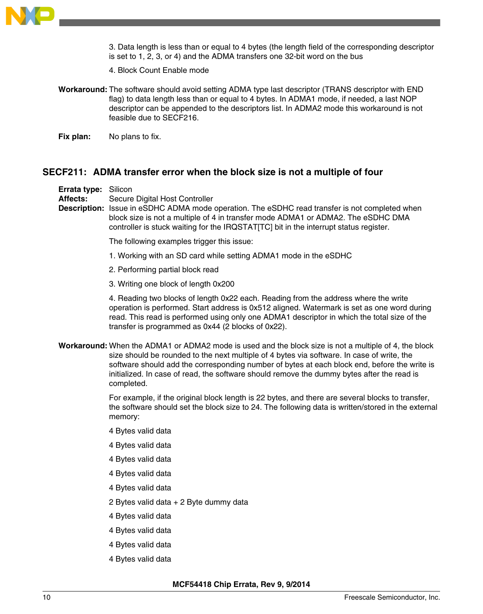<span id="page-9-0"></span>

3. Data length is less than or equal to 4 bytes (the length field of the corresponding descriptor is set to 1, 2, 3, or 4) and the ADMA transfers one 32-bit word on the bus

- 4. Block Count Enable mode
- **Workaround:** The software should avoid setting ADMA type last descriptor (TRANS descriptor with END flag) to data length less than or equal to 4 bytes. In ADMA1 mode, if needed, a last NOP descriptor can be appended to the descriptors list. In ADMA2 mode this workaround is not feasible due to SECF216.

**Fix plan:** No plans to fix.

### **SECF211: ADMA transfer error when the block size is not a multiple of four**

**Errata type:** Silicon

**Affects:** Secure Digital Host Controller

**Description:** Issue in eSDHC ADMA mode operation. The eSDHC read transfer is not completed when block size is not a multiple of 4 in transfer mode ADMA1 or ADMA2. The eSDHC DMA controller is stuck waiting for the IRQSTAT[TC] bit in the interrupt status register.

The following examples trigger this issue:

- 1. Working with an SD card while setting ADMA1 mode in the eSDHC
- 2. Performing partial block read
- 3. Writing one block of length 0x200

4. Reading two blocks of length 0x22 each. Reading from the address where the write operation is performed. Start address is 0x512 aligned. Watermark is set as one word during read. This read is performed using only one ADMA1 descriptor in which the total size of the transfer is programmed as 0x44 (2 blocks of 0x22).

**Workaround:** When the ADMA1 or ADMA2 mode is used and the block size is not a multiple of 4, the block size should be rounded to the next multiple of 4 bytes via software. In case of write, the software should add the corresponding number of bytes at each block end, before the write is initialized. In case of read, the software should remove the dummy bytes after the read is completed.

> For example, if the original block length is 22 bytes, and there are several blocks to transfer, the software should set the block size to 24. The following data is written/stored in the external memory:

- 4 Bytes valid data
- 4 Bytes valid data
- 4 Bytes valid data
- 4 Bytes valid data
- 4 Bytes valid data
- 2 Bytes valid data + 2 Byte dummy data
- 4 Bytes valid data
- 4 Bytes valid data
- 4 Bytes valid data
- 4 Bytes valid data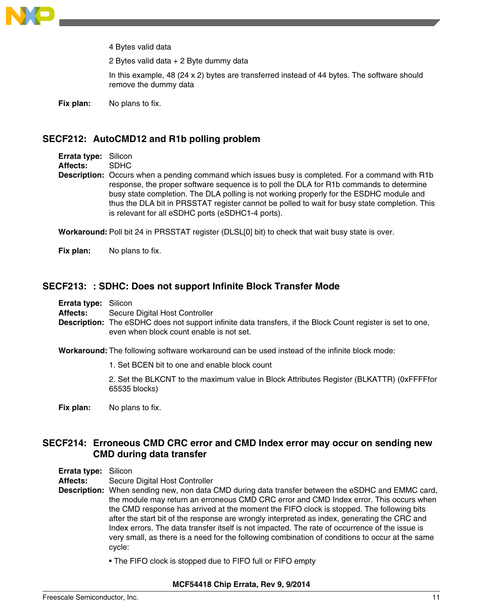<span id="page-10-0"></span>

4 Bytes valid data

2 Bytes valid data + 2 Byte dummy data

In this example, 48 (24 x 2) bytes are transferred instead of 44 bytes. The software should remove the dummy data

**Fix plan:** No plans to fix.

## **SECF212: AutoCMD12 and R1b polling problem**

**Errata type:** Silicon

**Affects:** SDHC

**Description:** Occurs when a pending command which issues busy is completed. For a command with R1b response, the proper software sequence is to poll the DLA for R1b commands to determine busy state completion. The DLA polling is not working properly for the ESDHC module and thus the DLA bit in PRSSTAT register cannot be polled to wait for busy state completion. This is relevant for all eSDHC ports (eSDHC1-4 ports).

**Workaround:** Poll bit 24 in PRSSTAT register (DLSL[0] bit) to check that wait busy state is over.

**Fix plan:** No plans to fix.

#### **SECF213: : SDHC: Does not support Infinite Block Transfer Mode**

**Errata type:** Silicon

**Affects:** Secure Digital Host Controller

**Description:** The eSDHC does not support infinite data transfers, if the Block Count register is set to one, even when block count enable is not set.

**Workaround:** The following software workaround can be used instead of the infinite block mode:

1. Set BCEN bit to one and enable block count

2. Set the BLKCNT to the maximum value in Block Attributes Register (BLKATTR) (0xFFFFfor 65535 blocks)

**Fix plan:** No plans to fix.

# **SECF214: Erroneous CMD CRC error and CMD Index error may occur on sending new CMD during data transfer**

## **Errata type:** Silicon

**Affects:** Secure Digital Host Controller

**Description:** When sending new, non data CMD during data transfer between the eSDHC and EMMC card, the module may return an erroneous CMD CRC error and CMD Index error. This occurs when the CMD response has arrived at the moment the FIFO clock is stopped. The following bits after the start bit of the response are wrongly interpreted as index, generating the CRC and Index errors. The data transfer itself is not impacted. The rate of occurrence of the issue is very small, as there is a need for the following combination of conditions to occur at the same cycle:

• The FIFO clock is stopped due to FIFO full or FIFO empty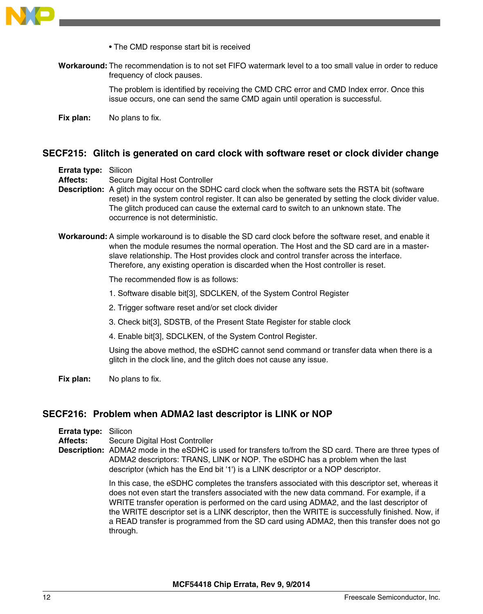<span id="page-11-0"></span>

- The CMD response start bit is received
- **Workaround:** The recommendation is to not set FIFO watermark level to a too small value in order to reduce frequency of clock pauses.

The problem is identified by receiving the CMD CRC error and CMD Index error. Once this issue occurs, one can send the same CMD again until operation is successful.

**Fix plan:** No plans to fix.

### **SECF215: Glitch is generated on card clock with software reset or clock divider change**

**Errata type:** Silicon

**Affects:** Secure Digital Host Controller

- **Description:** A glitch may occur on the SDHC card clock when the software sets the RSTA bit (software reset) in the system control register. It can also be generated by setting the clock divider value. The glitch produced can cause the external card to switch to an unknown state. The occurrence is not deterministic.
- **Workaround:** A simple workaround is to disable the SD card clock before the software reset, and enable it when the module resumes the normal operation. The Host and the SD card are in a masterslave relationship. The Host provides clock and control transfer across the interface. Therefore, any existing operation is discarded when the Host controller is reset.

The recommended flow is as follows:

- 1. Software disable bit[3], SDCLKEN, of the System Control Register
- 2. Trigger software reset and/or set clock divider
- 3. Check bit[3], SDSTB, of the Present State Register for stable clock
- 4. Enable bit[3], SDCLKEN, of the System Control Register.

Using the above method, the eSDHC cannot send command or transfer data when there is a glitch in the clock line, and the glitch does not cause any issue.

**Fix plan:** No plans to fix.

#### **SECF216: Problem when ADMA2 last descriptor is LINK or NOP**

**Errata type:** Silicon

**Affects:** Secure Digital Host Controller

**Description:** ADMA2 mode in the eSDHC is used for transfers to/from the SD card. There are three types of ADMA2 descriptors: TRANS, LINK or NOP. The eSDHC has a problem when the last descriptor (which has the End bit '1') is a LINK descriptor or a NOP descriptor.

> In this case, the eSDHC completes the transfers associated with this descriptor set, whereas it does not even start the transfers associated with the new data command. For example, if a WRITE transfer operation is performed on the card using ADMA2, and the last descriptor of the WRITE descriptor set is a LINK descriptor, then the WRITE is successfully finished. Now, if a READ transfer is programmed from the SD card using ADMA2, then this transfer does not go through.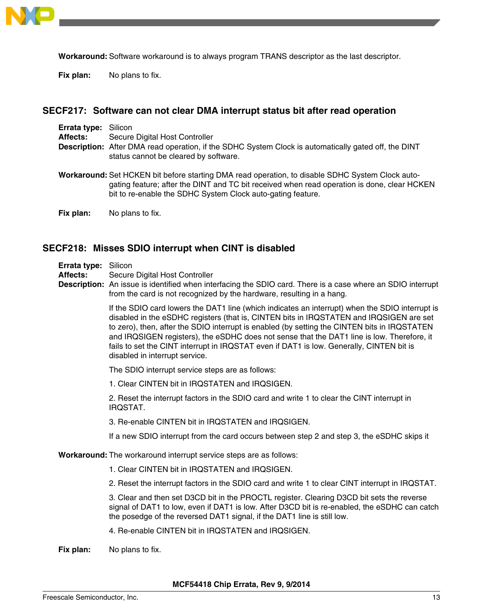<span id="page-12-0"></span>

**Workaround:** Software workaround is to always program TRANS descriptor as the last descriptor.

**Fix plan:** No plans to fix.

## **SECF217: Software can not clear DMA interrupt status bit after read operation**

| <b>Errata type: Silicon</b> |                                                                                                                                                                                                                                                                |
|-----------------------------|----------------------------------------------------------------------------------------------------------------------------------------------------------------------------------------------------------------------------------------------------------------|
| <b>Affects:</b>             | Secure Digital Host Controller                                                                                                                                                                                                                                 |
|                             | Description: After DMA read operation, if the SDHC System Clock is automatically gated off, the DINT<br>status cannot be cleared by software.                                                                                                                  |
|                             | Workaround: Set HCKEN bit before starting DMA read operation, to disable SDHC System Clock auto-<br>gating feature; after the DINT and TC bit received when read operation is done, clear HCKEN<br>bit to re-enable the SDHC System Clock auto-gating feature. |

**Fix plan:** No plans to fix.

## **SECF218: Misses SDIO interrupt when CINT is disabled**

| Errata type: |  | Silicon |
|--------------|--|---------|
|--------------|--|---------|

**Affects:** Secure Digital Host Controller

**Description:** An issue is identified when interfacing the SDIO card. There is a case where an SDIO interrupt from the card is not recognized by the hardware, resulting in a hang.

> If the SDIO card lowers the DAT1 line (which indicates an interrupt) when the SDIO interrupt is disabled in the eSDHC registers (that is, CINTEN bits in IRQSTATEN and IRQSIGEN are set to zero), then, after the SDIO interrupt is enabled (by setting the CINTEN bits in IRQSTATEN and IRQSIGEN registers), the eSDHC does not sense that the DAT1 line is low. Therefore, it fails to set the CINT interrupt in IRQSTAT even if DAT1 is low. Generally, CINTEN bit is disabled in interrupt service.

The SDIO interrupt service steps are as follows:

1. Clear CINTEN bit in IRQSTATEN and IRQSIGEN.

2. Reset the interrupt factors in the SDIO card and write 1 to clear the CINT interrupt in IRQSTAT.

3. Re-enable CINTEN bit in IRQSTATEN and IRQSIGEN.

If a new SDIO interrupt from the card occurs between step 2 and step 3, the eSDHC skips it

**Workaround:** The workaround interrupt service steps are as follows:

- 1. Clear CINTEN bit in IRQSTATEN and IRQSIGEN.
- 2. Reset the interrupt factors in the SDIO card and write 1 to clear CINT interrupt in IRQSTAT.

3. Clear and then set D3CD bit in the PROCTL register. Clearing D3CD bit sets the reverse signal of DAT1 to low, even if DAT1 is low. After D3CD bit is re-enabled, the eSDHC can catch the posedge of the reversed DAT1 signal, if the DAT1 line is still low.

4. Re-enable CINTEN bit in IRQSTATEN and IRQSIGEN.

**Fix plan:** No plans to fix.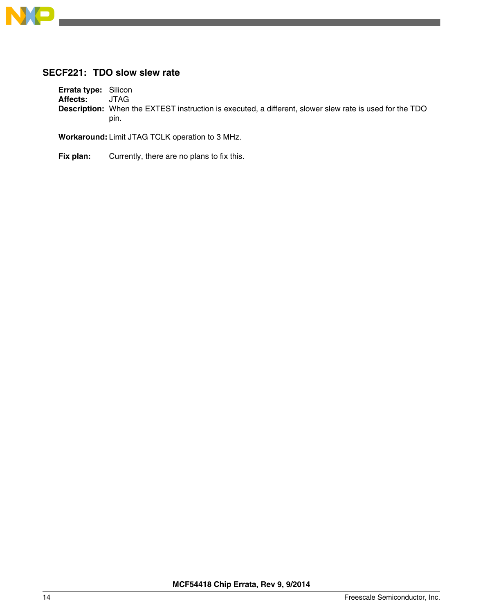<span id="page-13-0"></span>

# **SECF221: TDO slow slew rate**

**Errata type:** Silicon<br>**Affects:** JTAG Affects: **Description:** When the EXTEST instruction is executed, a different, slower slew rate is used for the TDO pin.

**Workaround:**Limit JTAG TCLK operation to 3 MHz.

Fix plan: Currently, there are no plans to fix this.